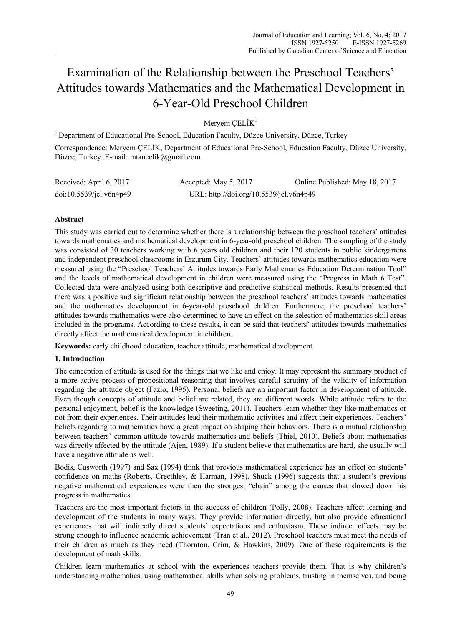# Examination of the Relationship between the Preschool Teachers' Attitudes towards Mathematics and the Mathematical Development in 6-Year-Old Preschool Children

Mervem  $CELIK<sup>1</sup>$ 

1 Department of Educational Pre-School, Education Faculty, Düzce University, Düzce, Turkey Correspondence: Meryem ÇELİK, Department of Educational Pre-School, Education Faculty, Düzce University, Düzce, Turkey. E-mail: mtancelik@gmail.com

| Received: April 6, 2017 | Accepted: May $5, 2017$                 | Online Published: May 18, 2017 |
|-------------------------|-----------------------------------------|--------------------------------|
| doi:10.5539/jet.v6n4p49 | URL: http://doi.org/10.5539/jel.v6n4p49 |                                |

## **Abstract**

This study was carried out to determine whether there is a relationship between the preschool teachers' attitudes towards mathematics and mathematical development in 6-year-old preschool children. The sampling of the study was consisted of 30 teachers working with 6 years old children and their 120 students in public kindergartens and independent preschool classrooms in Erzurum City. Teachers' attitudes towards mathematics education were measured using the "Preschool Teachers' Attitudes towards Early Mathematics Education Determination Tool" and the levels of mathematical development in children were measured using the "Progress in Math 6 Test". Collected data were analyzed using both descriptive and predictive statistical methods. Results presented that there was a positive and significant relationship between the preschool teachers' attitudes towards mathematics and the mathematics development in 6-year-old preschool children. Furthermore, the preschool teachers' attitudes towards mathematics were also determined to have an effect on the selection of mathematics skill areas included in the programs. According to these results, it can be said that teachers' attitudes towards mathematics directly affect the mathematical development in children.

**Keywords:** early childhood education, teacher attitude, mathematical development

## **1. Introduction**

The conception of attitude is used for the things that we like and enjoy. It may represent the summary product of a more active process of propositional reasoning that involves careful scrutiny of the validity of information regarding the attitude object (Fazio, 1995). Personal beliefs are an important factor in development of attitude. Even though concepts of attitude and belief are related, they are different words. While attitude refers to the personal enjoyment, belief is the knowledge (Sweeting, 2011). Teachers learn whether they like mathematics or not from their experiences. Their attitudes lead their mathematic activities and affect their experiences. Teachers' beliefs regarding to mathematics have a great impact on shaping their behaviors. There is a mutual relationship between teachers' common attitude towards mathematics and beliefs (Thiel, 2010). Beliefs about mathematics was directly affected by the attitude (Ajen, 1989). If a student believe that mathematics are hard, she usually will have a negative attitude as well.

Bodis, Cusworth (1997) and Sax (1994) think that previous mathematical experience has an effect on students' confidence on maths (Roberts, Crecthley, & Harman, 1998). Shuck (1996) suggests that a student's previous negative mathematical experiences were then the strongest "chain" among the causes that slowed down his progress in mathematics.

Teachers are the most important factors in the success of children (Polly, 2008). Teachers affect learning and development of the students in many ways. They provide information directly, but also provide educational experiences that will indirectly direct students' expectations and enthusiasm. These indirect effects may be strong enough to influence academic achievement (Tran et al., 2012). Preschool teachers must meet the needs of their children as much as they need (Thornton, Crim, & Hawkins, 2009). One of these requirements is the development of math skills.

Children learn mathematics at school with the experiences teachers provide them. That is why children's understanding mathematics, using mathematical skills when solving problems, trusting in themselves, and being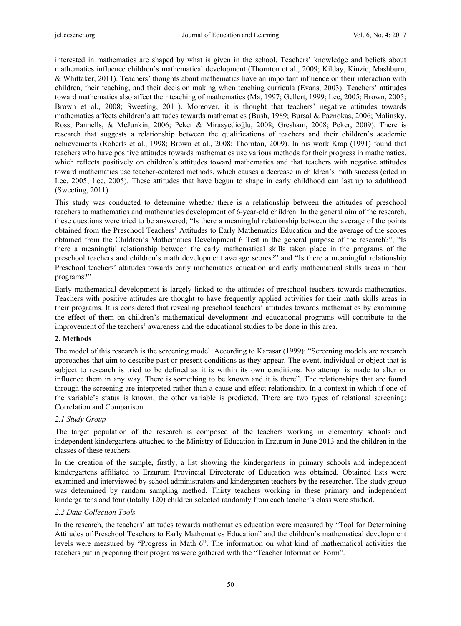interested in mathematics are shaped by what is given in the school. Teachers' knowledge and beliefs about mathematics influence children's mathematical development (Thornton et al., 2009; Kilday, Kinzie, Mashburn, & Whittaker, 2011). Teachers' thoughts about mathematics have an important influence on their interaction with children, their teaching, and their decision making when teaching curricula (Evans, 2003). Teachers' attitudes toward mathematics also affect their teaching of mathematics (Ma, 1997; Gellert, 1999; Lee, 2005; Brown, 2005; Brown et al., 2008; Sweeting, 2011). Moreover, it is thought that teachers' negative attitudes towards mathematics affects children's attitudes towards mathematics (Bush, 1989; Bursal & Paznokas, 2006; Malinsky, Ross, Pannells, & McJunkin, 2006; Peker & Mirasyedioğlu, 2008; Gresham, 2008; Peker, 2009). There is research that suggests a relationship between the qualifications of teachers and their children's academic achievements (Roberts et al., 1998; Brown et al., 2008; Thornton, 2009). In his work Krap (1991) found that teachers who have positive attitudes towards mathematics use various methods for their progress in mathematics, which reflects positively on children's attitudes toward mathematics and that teachers with negative attitudes toward mathematics use teacher-centered methods, which causes a decrease in children's math success (cited in Lee, 2005; Lee, 2005). These attitudes that have begun to shape in early childhood can last up to adulthood (Sweeting, 2011).

This study was conducted to determine whether there is a relationship between the attitudes of preschool teachers to mathematics and mathematics development of 6-year-old children. In the general aim of the research, these questions were tried to be answered; "Is there a meaningful relationship between the average of the points obtained from the Preschool Teachers' Attitudes to Early Mathematics Education and the average of the scores obtained from the Children's Mathematics Development 6 Test in the general purpose of the research?", "Is there a meaningful relationship between the early mathematical skills taken place in the programs of the preschool teachers and children's math development average scores?" and "Is there a meaningful relationship Preschool teachers' attitudes towards early mathematics education and early mathematical skills areas in their programs?"

Early mathematical development is largely linked to the attitudes of preschool teachers towards mathematics. Teachers with positive attitudes are thought to have frequently applied activities for their math skills areas in their programs. It is considered that revealing preschool teachers' attitudes towards mathematics by examining the effect of them on children's mathematical development and educational programs will contribute to the improvement of the teachers' awareness and the educational studies to be done in this area.

#### **2. Methods**

The model of this research is the screening model. According to Karasar (1999): "Screening models are research approaches that aim to describe past or present conditions as they appear. The event, individual or object that is subject to research is tried to be defined as it is within its own conditions. No attempt is made to alter or influence them in any way. There is something to be known and it is there". The relationships that are found through the screening are interpreted rather than a cause-and-effect relationship. In a context in which if one of the variable's status is known, the other variable is predicted. There are two types of relational screening: Correlation and Comparison.

#### *2.1 Study Group*

The target population of the research is composed of the teachers working in elementary schools and independent kindergartens attached to the Ministry of Education in Erzurum in June 2013 and the children in the classes of these teachers.

In the creation of the sample, firstly, a list showing the kindergartens in primary schools and independent kindergartens affiliated to Erzurum Provincial Directorate of Education was obtained. Obtained lists were examined and interviewed by school administrators and kindergarten teachers by the researcher. The study group was determined by random sampling method. Thirty teachers working in these primary and independent kindergartens and four (totally 120) children selected randomly from each teacher's class were studied.

#### *2.2 Data Collection Tools*

In the research, the teachers' attitudes towards mathematics education were measured by "Tool for Determining Attitudes of Preschool Teachers to Early Mathematics Education" and the children's mathematical development levels were measured by "Progress in Math 6". The information on what kind of mathematical activities the teachers put in preparing their programs were gathered with the "Teacher Information Form".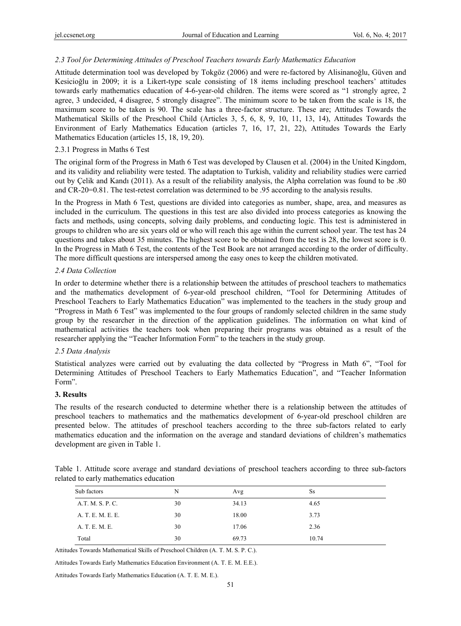#### *2.3 Tool for Determining Attitudes of Preschool Teachers towards Early Mathematics Education*

Attitude determination tool was developed by Tokgöz (2006) and were re-factored by Alisinanoğlu, Güven and Kesicioğlu in 2009; it is a Likert-type scale consisting of 18 items including preschool teachers' attitudes towards early mathematics education of 4-6-year-old children. The items were scored as "1 strongly agree, 2 agree, 3 undecided, 4 disagree, 5 strongly disagree". The minimum score to be taken from the scale is 18, the maximum score to be taken is 90. The scale has a three-factor structure. These are; Attitudes Towards the Mathematical Skills of the Preschool Child (Articles 3, 5, 6, 8, 9, 10, 11, 13, 14), Attitudes Towards the Environment of Early Mathematics Education (articles 7, 16, 17, 21, 22), Attitudes Towards the Early Mathematics Education (articles 15, 18, 19, 20).

#### 2.3.1 Progress in Maths 6 Test

The original form of the Progress in Math 6 Test was developed by Clausen et al. (2004) in the United Kingdom, and its validity and reliability were tested. The adaptation to Turkish, validity and reliability studies were carried out by Çelik and Kandı (2011). As a result of the reliability analysis, the Alpha correlation was found to be .80 and CR-20=0.81. The test-retest correlation was determined to be .95 according to the analysis results.

In the Progress in Math 6 Test, questions are divided into categories as number, shape, area, and measures as included in the curriculum. The questions in this test are also divided into process categories as knowing the facts and methods, using concepts, solving daily problems, and conducting logic. This test is administered in groups to children who are six years old or who will reach this age within the current school year. The test has 24 questions and takes about 35 minutes. The highest score to be obtained from the test is 28, the lowest score is 0. In the Progress in Math 6 Test, the contents of the Test Book are not arranged according to the order of difficulty. The more difficult questions are interspersed among the easy ones to keep the children motivated.

#### *2.4 Data Collection*

In order to determine whether there is a relationship between the attitudes of preschool teachers to mathematics and the mathematics development of 6-year-old preschool children, "Tool for Determining Attitudes of Preschool Teachers to Early Mathematics Education" was implemented to the teachers in the study group and "Progress in Math 6 Test" was implemented to the four groups of randomly selected children in the same study group by the researcher in the direction of the application guidelines. The information on what kind of mathematical activities the teachers took when preparing their programs was obtained as a result of the researcher applying the "Teacher Information Form" to the teachers in the study group.

## *2.5 Data Analysis*

Statistical analyzes were carried out by evaluating the data collected by "Progress in Math 6", "Tool for Determining Attitudes of Preschool Teachers to Early Mathematics Education", and "Teacher Information Form".

#### **3. Results**

The results of the research conducted to determine whether there is a relationship between the attitudes of preschool teachers to mathematics and the mathematics development of 6-year-old preschool children are presented below. The attitudes of preschool teachers according to the three sub-factors related to early mathematics education and the information on the average and standard deviations of children's mathematics development are given in Table 1.

|                                        |  |  | Table 1. Attitude score average and standard deviations of preschool teachers according to three sub-factors |  |  |  |  |
|----------------------------------------|--|--|--------------------------------------------------------------------------------------------------------------|--|--|--|--|
| related to early mathematics education |  |  |                                                                                                              |  |  |  |  |

| Sub factors<br>N        | Avg   | Ss    |
|-------------------------|-------|-------|
| A.T. M. S. P. C.<br>30  | 34.13 | 4.65  |
| A. T. E. M. E. E.<br>30 | 18.00 | 3.73  |
| 30<br>A. T. E. M. E.    | 17.06 | 2.36  |
| 30                      | 69.73 | 10.74 |
|                         |       |       |

Attitudes Towards Mathematical Skills of Preschool Children (A. T. M. S. P. C.).

Attitudes Towards Early Mathematics Education Environment (A. T. E. M. E.E.).

Attitudes Towards Early Mathematics Education (A. T. E. M. E.).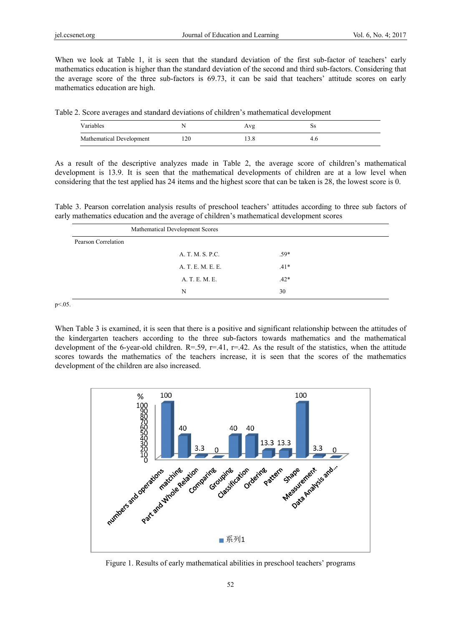When we look at Table 1, it is seen that the standard deviation of the first sub-factor of teachers' early mathematics education is higher than the standard deviation of the second and third sub-factors. Considering that the average score of the three sub-factors is 69.73, it can be said that teachers' attitude scores on early mathematics education are high.

Table 2. Score averages and standard deviations of children's mathematical development

| Variables                |     | υa |  |
|--------------------------|-----|----|--|
| Mathematical Development | 120 |    |  |

As a result of the descriptive analyzes made in Table 2, the average score of children's mathematical development is 13.9. It is seen that the mathematical developments of children are at a low level when considering that the test applied has 24 items and the highest score that can be taken is 28, the lowest score is 0.

Table 3. Pearson correlation analysis results of preschool teachers' attitudes according to three sub factors of early mathematics education and the average of children's mathematical development scores

| Mathematical Development Scores |                   |        |  |
|---------------------------------|-------------------|--------|--|
| Pearson Correlation             |                   |        |  |
|                                 | A. T. M. S. P.C.  | $.59*$ |  |
|                                 | A. T. E. M. E. E. | $.41*$ |  |
|                                 | A. T. E. M. E.    | $.42*$ |  |
|                                 | N                 | 30     |  |

p < . 05.

When Table 3 is examined, it is seen that there is a positive and significant relationship between the attitudes of the kindergarten teachers according to the three sub-factors towards mathematics and the mathematical development of the 6-year-old children.  $R = .59$ ,  $r = .41$ ,  $r = .42$ . As the result of the statistics, when the attitude scores towards the mathematics of the teachers increase, it is seen that the scores of the mathematics development of the children are also increased.



Figure 1. Results of early mathematical abilities in preschool teachers' programs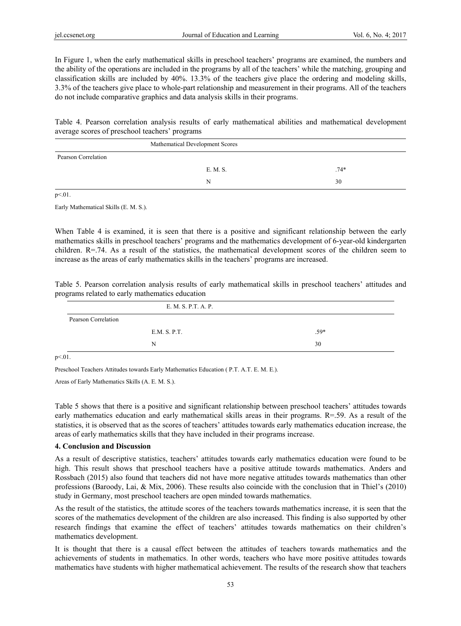In Figure 1, when the early mathematical skills in preschool teachers' programs are examined, the numbers and the ability of the operations are included in the programs by all of the teachers' while the matching, grouping and classification skills are included by 40%. 13.3% of the teachers give place the ordering and modeling skills, 3.3% of the teachers give place to whole-part relationship and measurement in their programs. All of the teachers do not include comparative graphics and data analysis skills in their programs.

Table 4. Pearson correlation analysis results of early mathematical abilities and mathematical development average scores of preschool teachers' programs

| Mathematical Development Scores |          |        |  |  |
|---------------------------------|----------|--------|--|--|
| Pearson Correlation             |          |        |  |  |
|                                 | E. M. S. | $.74*$ |  |  |
|                                 | N        | 30     |  |  |

 $p<.01$ .

Early Mathematical Skills (E. M. S.).

When Table 4 is examined, it is seen that there is a positive and significant relationship between the early mathematics skills in preschool teachers' programs and the mathematics development of 6-year-old kindergarten children. R=.74. As a result of the statistics, the mathematical development scores of the children seem to increase as the areas of early mathematics skills in the teachers' programs are increased.

Table 5. Pearson correlation analysis results of early mathematical skills in preschool teachers' attitudes and programs related to early mathematics education

|                     | E. M. S. P.T. A. P. |        |
|---------------------|---------------------|--------|
| Pearson Correlation |                     |        |
|                     | E.M. S. P.T.        | $.59*$ |
|                     | N                   | 30     |
| $\sim$ $\sim$       |                     |        |

 $p < 01$ .

Preschool Teachers Attitudes towards Early Mathematics Education ( P.T. A.T. E. M. E.).

Areas of Early Mathematics Skills (A. E. M. S.).

Table 5 shows that there is a positive and significant relationship between preschool teachers' attitudes towards early mathematics education and early mathematical skills areas in their programs. R=.59. As a result of the statistics, it is observed that as the scores of teachers' attitudes towards early mathematics education increase, the areas of early mathematics skills that they have included in their programs increase.

#### **4. Conclusion and Discussion**

As a result of descriptive statistics, teachers' attitudes towards early mathematics education were found to be high. This result shows that preschool teachers have a positive attitude towards mathematics. Anders and Rossbach (2015) also found that teachers did not have more negative attitudes towards mathematics than other professions (Baroody, Lai, & Mix, 2006). These results also coincide with the conclusion that in Thiel's (2010) study in Germany, most preschool teachers are open minded towards mathematics.

As the result of the statistics, the attitude scores of the teachers towards mathematics increase, it is seen that the scores of the mathematics development of the children are also increased. This finding is also supported by other research findings that examine the effect of teachers' attitudes towards mathematics on their children's mathematics development.

It is thought that there is a causal effect between the attitudes of teachers towards mathematics and the achievements of students in mathematics. In other words, teachers who have more positive attitudes towards mathematics have students with higher mathematical achievement. The results of the research show that teachers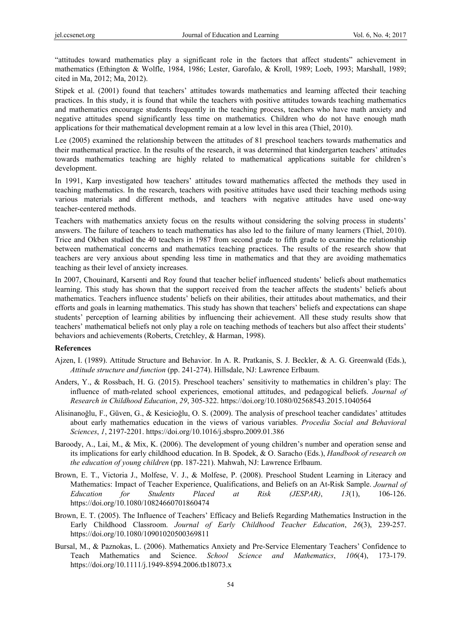"attitudes toward mathematics play a significant role in the factors that affect students" achievement in mathematics (Ethington & Wolfle, 1984, 1986; Lester, Garofalo, & Kroll, 1989; Loeb, 1993; Marshall, 1989; cited in Ma, 2012; Ma, 2012).

Stipek et al. (2001) found that teachers' attitudes towards mathematics and learning affected their teaching practices. In this study, it is found that while the teachers with positive attitudes towards teaching mathematics and mathematics encourage students frequently in the teaching process, teachers who have math anxiety and negative attitudes spend significantly less time on mathematics. Children who do not have enough math applications for their mathematical development remain at a low level in this area (Thiel, 2010).

Lee (2005) examined the relationship between the attitudes of 81 preschool teachers towards mathematics and their mathematical practice. In the results of the research, it was determined that kindergarten teachers' attitudes towards mathematics teaching are highly related to mathematical applications suitable for children's development.

In 1991, Karp investigated how teachers' attitudes toward mathematics affected the methods they used in teaching mathematics. In the research, teachers with positive attitudes have used their teaching methods using various materials and different methods, and teachers with negative attitudes have used one-way teacher-centered methods.

Teachers with mathematics anxiety focus on the results without considering the solving process in students' answers. The failure of teachers to teach mathematics has also led to the failure of many learners (Thiel, 2010). Trice and Okben studied the 40 teachers in 1987 from second grade to fifth grade to examine the relationship between mathematical concerns and mathematics teaching practices. The results of the research show that teachers are very anxious about spending less time in mathematics and that they are avoiding mathematics teaching as their level of anxiety increases.

In 2007, Chouinard, Karsenti and Roy found that teacher belief influenced students' beliefs about mathematics learning. This study has shown that the support received from the teacher affects the students' beliefs about mathematics. Teachers influence students' beliefs on their abilities, their attitudes about mathematics, and their efforts and goals in learning mathematics. This study has shown that teachers' beliefs and expectations can shape students' perception of learning abilities by influencing their achievement. All these study results show that teachers' mathematical beliefs not only play a role on teaching methods of teachers but also affect their students' behaviors and achievements (Roberts, Cretchley, & Harman, 1998).

#### **References**

- Ajzen, I. (1989). Attitude Structure and Behavior. In A. R. Pratkanis, S. J. Beckler, & A. G. Greenwald (Eds.), *Attitude structure and function* (pp. 241-274). Hillsdale, NJ: Lawrence Erlbaum.
- Anders, Y., & Rossbach, H. G. (2015). Preschool teachers' sensitivity to mathematics in children's play: The influence of math-related school experiences, emotional attitudes, and pedagogical beliefs. *Journal of Research in Childhood Education*, *29*, 305-322. https://doi.org/10.1080/02568543.2015.1040564
- Alisinanoğlu, F., Güven, G., & Kesicioğlu, O. S. (2009). The analysis of preschool teacher candidates' attitudes about early mathematics education in the views of various variables. *Procedia Social and Behavioral Sciences*, *1*, 2197-2201. https://doi.org/10.1016/j.sbspro.2009.01.386
- Baroody, A., Lai, M., & Mix, K. (2006). The development of young children's number and operation sense and its implications for early childhood education. In B. Spodek, & O. Saracho (Eds.), *Handbook of research on the education of young children* (pp. 187-221). Mahwah, NJ: Lawrence Erlbaum.
- Brown, E. T., Victoria J., Molfese, V. J., & Molfese, P. (2008). Preschool Student Learning in Literacy and Mathematics: Impact of Teacher Experience, Qualifications, and Beliefs on an At-Risk Sample. *Journal of Education for Students Placed at Risk (JESPAR)*, *13*(1), 106-126. https://doi.org/10.1080/10824660701860474
- Brown, E. T. (2005). The Influence of Teachers' Efficacy and Beliefs Regarding Mathematics Instruction in the Early Childhood Classroom. *Journal of Early Childhood Teacher Education*, *26*(3), 239-257. https://doi.org/10.1080/10901020500369811
- Bursal, M., & Paznokas, L. (2006). Mathematics Anxiety and Pre-Service Elementary Teachers' Confidence to Teach Mathematics and Science. *School Science and Mathematics*, *106*(4), 173-179. https://doi.org/10.1111/j.1949-8594.2006.tb18073.x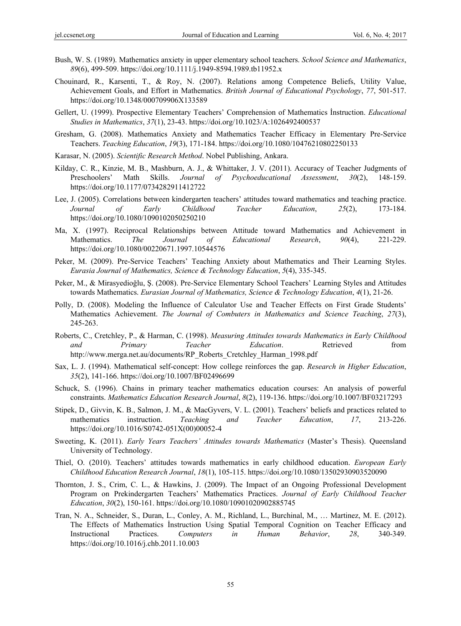- Bush, W. S. (1989). Mathematics anxiety in upper elementary school teachers. *School Science and Mathematics*, *89*(6), 499-509. https://doi.org/10.1111/j.1949-8594.1989.tb11952.x
- Chouinard, R., Karsenti, T., & Roy, N. (2007). Relations among Competence Beliefs, Utility Value, Achievement Goals, and Effort in Mathematics. *British Journal of Educational Psychology*, *77*, 501-517. https://doi.org/10.1348/000709906X133589
- Gellert, U. (1999). Prospective Elementary Teachers' Comprehension of Mathematics İnstruction. *Educational Studies in Mathematics*, *37*(1), 23-43. https://doi.org/10.1023/A:1026492400537
- Gresham, G. (2008). Mathematics Anxiety and Mathematics Teacher Efficacy in Elementary Pre-Service Teachers. *Teaching Education*, *19*(3), 171-184. https://doi.org/10.1080/10476210802250133
- Karasar, N. (2005). *Scientific Research Method*. Nobel Publishing, Ankara.
- Kilday, C. R., Kinzie, M. B., Mashburn, A. J., & Whittaker, J. V. (2011). Accuracy of Teacher Judgments of Preschoolers' Math Skills. *Journal of Psychoeducational Assessment*, *30*(2), 148-159. https://doi.org/10.1177/0734282911412722
- Lee, J. (2005). Correlations between kindergarten teachers' attitudes toward mathematics and teaching practice. *Journal of Early Childhood Teacher Education*, *25*(2), 173-184. https://doi.org/10.1080/1090102050250210
- Ma, X. (1997). Reciprocal Relationships between Attitude toward Mathematics and Achievement in Mathematics. *The Journal of Educational Research*, *90*(4), 221-229. https://doi.org/10.1080/00220671.1997.10544576
- Peker, M. (2009). Pre-Service Teachers' Teaching Anxiety about Mathematics and Their Learning Styles. *Eurasia Journal of Mathematics, Science & Technology Education*, *5*(4), 335-345.
- Peker, M., & Mirasyedioğlu, Ş. (2008). Pre-Service Elementary School Teachers' Learning Styles and Attitudes towards Mathematics. *Eurasian Journal of Mathematics, Science & Technology Education*, *4*(1), 21-26.
- Polly, D. (2008). Modeling the Influence of Calculator Use and Teacher Effects on First Grade Students' Mathematics Achievement. *The Journal of Combuters in Mathematics and Science Teaching*, *27*(3), 245-263.
- Roberts, C., Cretchley, P., & Harman, C. (1998). *Measuring Attitudes towards Mathematics in Early Childhood and Primary Teacher Education*. Retrieved from http://www.merga.net.au/documents/RP\_Roberts\_Cretchley\_Harman\_1998.pdf
- Sax, L. J. (1994). Mathematical self-concept: How college reinforces the gap. *Research in Higher Education*, *35*(2), 141-166. https://doi.org/10.1007/BF02496699
- Schuck, S. (1996). Chains in primary teacher mathematics education courses: An analysis of powerful constraints. *Mathematics Education Research Journal*, *8*(2), 119-136. https://doi.org/10.1007/BF03217293
- Stipek, D., Givvin, K. B., Salmon, J. M., & MacGyvers, V. L. (2001). Teachers' beliefs and practices related to mathematics instruction. *Teaching and Teacher Education*, *17*, 213-226. https://doi.org/10.1016/S0742-051X(00)00052-4
- Sweeting, K. (2011). *Early Years Teachers' Attitudes towards Mathematics* (Master's Thesis). Queensland University of Technology.
- Thiel, O. (2010). Teachers' attitudes towards mathematics in early childhood education. *European Early Childhood Education Research Journal*, *18*(1), 105-115. https://doi.org/10.1080/13502930903520090
- Thornton, J. S., Crim, C. L., & Hawkins, J. (2009). The Impact of an Ongoing Professional Development Program on Prekindergarten Teachers' Mathematics Practices. *Journal of Early Childhood Teacher Education*, *30*(2), 150-161. https://doi.org/10.1080/10901020902885745
- Tran, N. A., Schneider, S., Duran, L., Conley, A. M., Richland, L., Burchinal, M., … Martinez, M. E. (2012). The Effects of Mathematics İnstruction Using Spatial Temporal Cognition on Teacher Efficacy and Instructional Practices. *Computers in Human Behavior*, *28*, 340-349. https://doi.org/10.1016/j.chb.2011.10.003